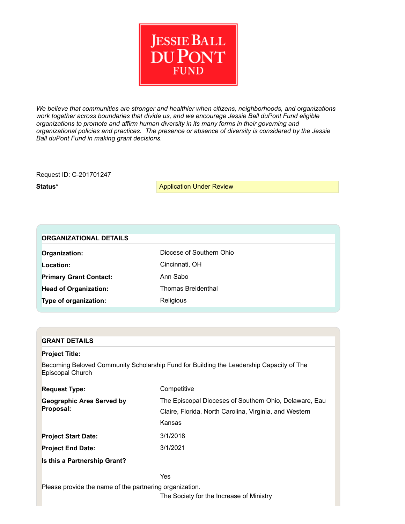

*We believe that communities are stronger and healthier when citizens, neighborhoods, and organizations work together across boundaries that divide us, and we encourage Jessie Ball duPont Fund eligible organizations to promote and affirm human diversity in its many forms in their governing and organizational policies and practices. The presence or absence of diversity is considered by the Jessie Ball duPont Fund in making grant decisions.*

Request ID: C201701247

**Status\* Application Under Review** 

| <b>ORGANIZATIONAL DETAILS</b> |                           |  |  |  |  |  |  |
|-------------------------------|---------------------------|--|--|--|--|--|--|
| Organization:                 | Diocese of Southern Ohio  |  |  |  |  |  |  |
| Location:                     | Cincinnati, OH            |  |  |  |  |  |  |
| <b>Primary Grant Contact:</b> | Ann Sabo                  |  |  |  |  |  |  |
| <b>Head of Organization:</b>  | <b>Thomas Breidenthal</b> |  |  |  |  |  |  |
| Type of organization:         | Religious                 |  |  |  |  |  |  |
|                               |                           |  |  |  |  |  |  |

## **GRANT DETAILS**

### **Project Title:**

Becoming Beloved Community Scholarship Fund for Building the Leadership Capacity of The Episcopal Church

| <b>Request Type:</b>                          | Competitive                                                                                                      |
|-----------------------------------------------|------------------------------------------------------------------------------------------------------------------|
| <b>Geographic Area Served by</b><br>Proposal: | The Episcopal Dioceses of Southern Ohio, Delaware, Eau<br>Claire, Florida, North Carolina, Virginia, and Western |
|                                               | Kansas                                                                                                           |
| <b>Project Start Date:</b>                    | 3/1/2018                                                                                                         |
| <b>Project End Date:</b>                      | 3/1/2021                                                                                                         |
| Is this a Partnership Grant?                  |                                                                                                                  |

Yes Please provide the name of the partnering organization.

The Society for the Increase of Ministry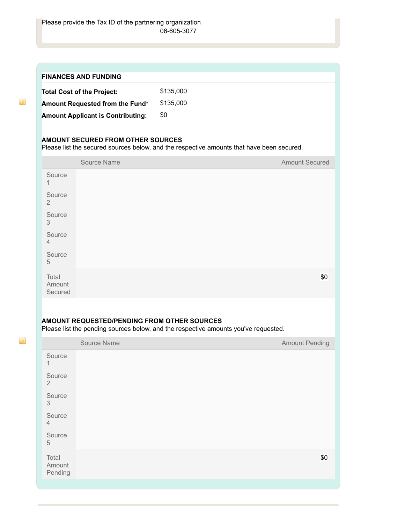Pending

 $\overline{u}$ 

 $\overline{\mathbf{S}}$ 

|                            | <b>FINANCES AND FUNDING</b>                 |                                                                                           |                       |
|----------------------------|---------------------------------------------|-------------------------------------------------------------------------------------------|-----------------------|
|                            | <b>Total Cost of the Project:</b>           | \$135,000                                                                                 |                       |
|                            | Amount Requested from the Fund*             | \$135,000                                                                                 |                       |
|                            | <b>Amount Applicant is Contributing:</b>    | \$0                                                                                       |                       |
|                            |                                             |                                                                                           |                       |
|                            | <b>AMOUNT SECURED FROM OTHER SOURCES</b>    | Please list the secured sources below, and the respective amounts that have been secured. |                       |
|                            | Source Name                                 |                                                                                           | <b>Amount Secured</b> |
| Source<br>1                |                                             |                                                                                           |                       |
| Source<br>$\overline{2}$   |                                             |                                                                                           |                       |
| Source<br>3                |                                             |                                                                                           |                       |
| Source<br>$\overline{4}$   |                                             |                                                                                           |                       |
| Source<br>5                |                                             |                                                                                           |                       |
| Total<br>Amount<br>Secured |                                             |                                                                                           | \$0                   |
|                            |                                             |                                                                                           |                       |
|                            | AMOUNT REQUESTED/PENDING FROM OTHER SOURCES |                                                                                           |                       |
|                            |                                             | Please list the pending sources below, and the respective amounts you've requested.       |                       |
|                            | Source Name                                 |                                                                                           | <b>Amount Pending</b> |
| Source<br>1                |                                             |                                                                                           |                       |
| Source<br>$\overline{2}$   |                                             |                                                                                           |                       |
| Source<br>3                |                                             |                                                                                           |                       |
| Source<br>$\overline{4}$   |                                             |                                                                                           |                       |
| Source<br>5                |                                             |                                                                                           |                       |
| Total<br>Amount            |                                             |                                                                                           | \$0                   |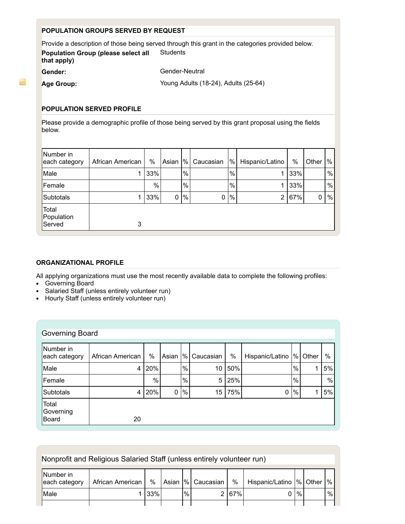## **POPULATION GROUPS SERVED BY REQUEST**

Provide a description of those being served through this grant in the categories provided below. **Population Group (please select all that apply) Students** Gender: Gender-Neutral

 $\overline{\mathbf{a}}$ 

Age Group: **Age Group:** Young Adults (18-24), Adults (25-64)

# **POPULATION SERVED PROFILE**

Please provide a demographic profile of those being served by this grant proposal using the fields below.

| Number in<br>each category    | African American | %    | Asian       | %             | Caucasian    | %    | Hispanic/Latino | %   | Other | %    |
|-------------------------------|------------------|------|-------------|---------------|--------------|------|-----------------|-----|-------|------|
| Male                          |                  | 33%  |             | $\frac{1}{6}$ |              | %    |                 | 33% |       | %    |
| Female                        |                  | $\%$ |             | %             |              | $\%$ |                 | 33% |       | %    |
| Subtotals                     |                  | 33%  | $\mathbf 0$ | %             | $\mathbf{0}$ | $\%$ | 2               | 67% | 0     | $\%$ |
| Total<br>Population<br>Served | 3                |      |             |               |              |      |                 |     |       |      |

## **ORGANIZATIONAL PROFILE**

All applying organizations must use the most recently available data to complete the following profiles:

- Governing Board
- Salaried Staff (unless entirely volunteer run)
- Hourly Staff (unless entirely volunteer run)

| Governing Board                    |                  |      |             |      |           |     |                 |      |       |    |
|------------------------------------|------------------|------|-------------|------|-----------|-----|-----------------|------|-------|----|
| Number in<br>each category         | African American | $\%$ | Asian       | %    | Caucasian | %   | Hispanic/Latino | %    | Other | %  |
| Male                               | 4                | 20%  |             | $\%$ | 10        | 50% |                 | %    |       | 5% |
| Female                             |                  | %    |             | $\%$ | 5         | 25% |                 | %    |       | %  |
| Subtotals                          | 4                | 20%  | $\mathbf 0$ | %    | 15        | 75% | 0               | $\%$ |       | 5% |
| Total<br>Governing<br><b>Board</b> | 20               |      |             |      |           |     |                 |      |       |    |

| Nonprofit and Religious Salaried Staff (unless entirely volunteer run) |                  |     |  |      |                      |     |                             |      |  |   |
|------------------------------------------------------------------------|------------------|-----|--|------|----------------------|-----|-----------------------------|------|--|---|
| Number in<br>each category                                             | African American | %   |  |      | Asian  %   Caucasian | %   | Hispanic/Latino  % Other  % |      |  |   |
| Male                                                                   |                  | 33% |  | $\%$ |                      | 67% |                             | $\%$ |  | % |
|                                                                        |                  |     |  |      |                      |     |                             |      |  |   |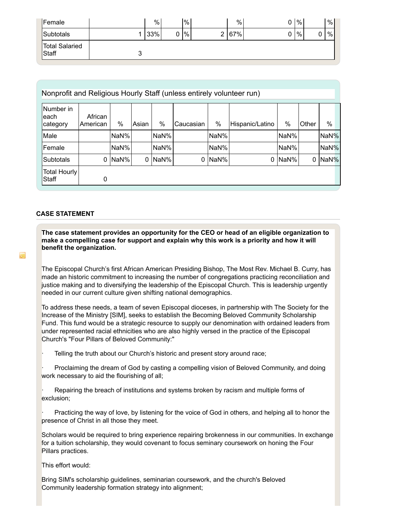| Female                         |   | %   |   | $\%$ | %     |   | $\%$ |   | % |
|--------------------------------|---|-----|---|------|-------|---|------|---|---|
| Subtotals                      | ◢ | 33% | 0 | %    | 2 67% | ∩ | %    | 0 | % |
| <b>Total Salaried</b><br>Staff | ◡ |     |   |      |       |   |      |   |   |

| Nonprofit and Religious Hourly Staff (unless entirely volunteer run) |                     |               |       |      |           |      |                 |               |       |      |
|----------------------------------------------------------------------|---------------------|---------------|-------|------|-----------|------|-----------------|---------------|-------|------|
| Number in<br>leach<br>category                                       | African<br>American | $\frac{0}{0}$ | Asian | %    | Caucasian | $\%$ | Hispanic/Latino | $\frac{0}{0}$ | Other | $\%$ |
| Male                                                                 |                     | NaN%          |       | NaN% |           | NaN% |                 | NaN%          |       | NaN% |
| Female                                                               |                     | NaN%          |       | NaN% |           | NaN% |                 | NaN%          |       | NaN% |
| Subtotals                                                            | 0                   | NaN%          | 0     | NaN% | 0         | NaN% |                 | 0 NaN%        | 0     | NaN% |
| <b>Total Hourly</b><br>Staff                                         | 0                   |               |       |      |           |      |                 |               |       |      |

### **CASE STATEMENT**

 $\overline{\phantom{a}}$ 

**The case statement provides an opportunity for the CEO or head of an eligible organization to make a compelling case for support and explain why this work is a priority and how it will benefit the organization.**

The Episcopal Church's first African American Presiding Bishop, The Most Rev. Michael B. Curry, has made an historic commitment to increasing the number of congregations practicing reconciliation and justice making and to diversifying the leadership of the Episcopal Church. This is leadership urgently needed in our current culture given shifting national demographics.

To address these needs, a team of seven Episcopal dioceses, in partnership with The Society for the Increase of the Ministry [SIM], seeks to establish the Becoming Beloved Community Scholarship Fund. This fund would be a strategic resource to supply our denomination with ordained leaders from under represented racial ethnicities who are also highly versed in the practice of the Episcopal Church's "Four Pillars of Beloved Community:"

Telling the truth about our Church's historic and present story around race;

Proclaiming the dream of God by casting a compelling vision of Beloved Community, and doing work necessary to aid the flourishing of all;

Repairing the breach of institutions and systems broken by racism and multiple forms of exclusion;

Practicing the way of love, by listening for the voice of God in others, and helping all to honor the presence of Christ in all those they meet.

Scholars would be required to bring experience repairing brokenness in our communities. In exchange for a tuition scholarship, they would covenant to focus seminary coursework on honing the Four Pillars practices.

This effort would:

Bring SIM's scholarship guidelines, seminarian coursework, and the church's Beloved Community leadership formation strategy into alignment;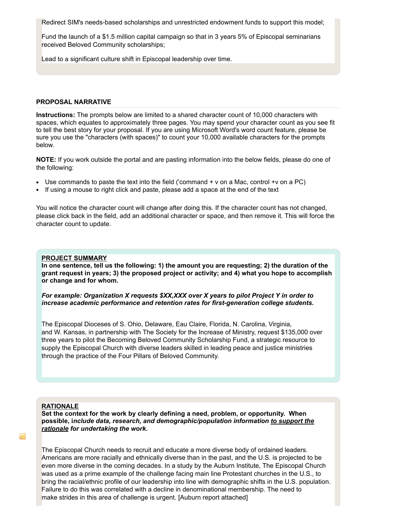Redirect SIM's needs-based scholarships and unrestricted endowment funds to support this model;

Fund the launch of a \$1.5 million capital campaign so that in 3 years 5% of Episcopal seminarians received Beloved Community scholarships;

Lead to a significant culture shift in Episcopal leadership over time.

### **PROPOSAL NARRATIVE**

**Instructions:** The prompts below are limited to a shared character count of 10,000 characters with spaces, which equates to approximately three pages. You may spend your character count as you see fit to tell the best story for your proposal. If you are using Microsoft Word's word count feature, please be sure you use the "characters (with spaces)" to count your 10,000 available characters for the prompts below.

**NOTE:** If you work outside the portal and are pasting information into the below fields, please do one of the following:

- $\bullet$  Use commands to paste the text into the field ('command + v on a Mac, control +v on a PC)
- If using a mouse to right click and paste, please add a space at the end of the text

You will notice the character count will change after doing this. If the character count has not changed, please click back in the field, add an additional character or space, and then remove it. This will force the character count to update.

### **PROJECT SUMMARY**

**In one sentence, tell us the following: 1) the amount you are requesting; 2) the duration of the grant request in years; 3) the proposed project or activity; and 4) what you hope to accomplish or change and for whom.** 

*For example: Organization X requests \$XX,XXX over X years to pilot Project Y in order to increase academic performance and retention rates for first-generation college students.* 

The Episcopal Dioceses of S. Ohio, Delaware, Eau Claire, Florida, N. Carolina, Virginia, and W. Kansas, in partnership with The Society for the Increase of Ministry, request \$135,000 over three years to pilot the Becoming Beloved Community Scholarship Fund, a strategic resource to supply the Episcopal Church with diverse leaders skilled in leading peace and justice ministries through the practice of the Four Pillars of Beloved Community.

#### **RATIONALE**

**Set the context for the work by clearly defining a need, problem, or opportunity. When possible, i***nclude data, research, and demographic/population information to support the rationale for undertaking the work.*

The Episcopal Church needs to recruit and educate a more diverse body of ordained leaders. Americans are more racially and ethnically diverse than in the past, and the U.S. is projected to be even more diverse in the coming decades. In a study by the Auburn Institute, The Episcopal Church was used as a prime example of the challenge facing main line Protestant churches in the U.S., to bring the racial/ethnic profile of our leadership into line with demographic shifts in the U.S. population. Failure to do this was correlated with a decline in denominational membership. The need to make strides in this area of challenge is urgent. [Auburn report attached]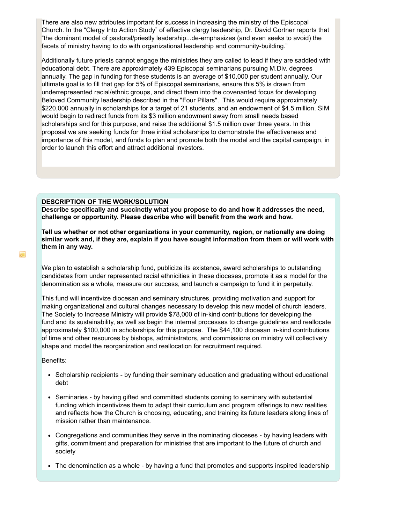There are also new attributes important for success in increasing the ministry of the Episcopal Church. In the "Clergy Into Action Study" of effective clergy leadership, Dr. David Gortner reports that "the dominant model of pastoral/priestly leadership...de-emphasizes (and even seeks to avoid) the facets of ministry having to do with organizational leadership and community-building."

Additionally future priests cannot engage the ministries they are called to lead if they are saddled with educational debt. There are approximately 439 Episcopal seminarians pursuing M.Div. degrees annually. The gap in funding for these students is an average of \$10,000 per student annually. Our ultimate goal is to fill that gap for 5% of Episcopal seminarians, ensure this 5% is drawn from underrepresented racial/ethnic groups, and direct them into the covenanted focus for developing Beloved Community leadership described in the "Four Pillars". This would require approximately \$220,000 annually in scholarships for a target of 21 students, and an endowment of \$4.5 million. SIM would begin to redirect funds from its \$3 million endowment away from small needs based scholarships and for this purpose, and raise the additional \$1.5 million over three years. In this proposal we are seeking funds for three initial scholarships to demonstrate the effectiveness and importance of this model, and funds to plan and promote both the model and the capital campaign, in order to launch this effort and attract additional investors.

#### **DESCRIPTION OF THE WORK/SOLUTION**

**Describe specifically and succinctly what you propose to do and how it addresses the need, challenge or opportunity. Please describe who will benefit from the work and how.**

**Tell us whether or not other organizations in your community, region, or nationally are doing similar work and, if they are, explain if you have sought information from them or will work with them in any way.**

We plan to establish a scholarship fund, publicize its existence, award scholarships to outstanding candidates from under represented racial ethnicities in these dioceses, promote it as a model for the denomination as a whole, measure our success, and launch a campaign to fund it in perpetuity.

This fund will incentivize diocesan and seminary structures, providing motivation and support for making organizational and cultural changes necessary to develop this new model of church leaders. The Society to Increase Ministry will provide \$78,000 of in-kind contributions for developing the fund and its sustainability, as well as begin the internal processes to change guidelines and reallocate approximately \$100,000 in scholarships for this purpose. The \$44,100 diocesan in-kind contributions of time and other resources by bishops, administrators, and commissions on ministry will collectively shape and model the reorganization and reallocation for recruitment required.

Benefits:

- Scholarship recipients by funding their seminary education and graduating without educational debt
- Seminaries by having gifted and committed students coming to seminary with substantial funding which incentivizes them to adapt their curriculum and program offerings to new realities and reflects how the Church is choosing, educating, and training its future leaders along lines of mission rather than maintenance.
- Congregations and communities they serve in the nominating dioceses by having leaders with gifts, commitment and preparation for ministries that are important to the future of church and society
- The denomination as a whole by having a fund that promotes and supports inspired leadership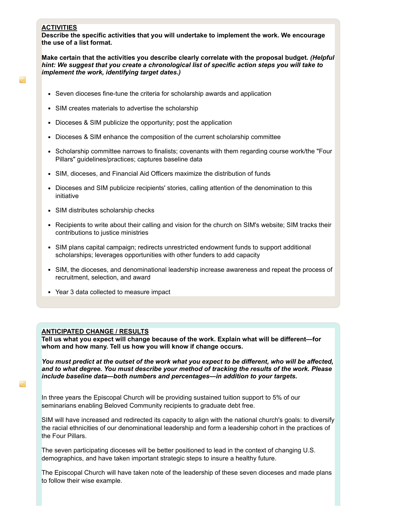## **ACTIVITIES**

 $\overline{\phantom{a}}$ 

**Describe the specific activities that you will undertake to implement the work. We encourage the use of a list format.** 

**Make certain that the activities you describe clearly correlate with the proposal budget.** *(Helpful hint: We suggest that you create a chronological list of specific action steps you will take to implement the work, identifying target dates.)*

- Seven dioceses fine-tune the criteria for scholarship awards and application
- SIM creates materials to advertise the scholarship
- Dioceses & SIM publicize the opportunity; post the application
- Dioceses & SIM enhance the composition of the current scholarship committee
- Scholarship committee narrows to finalists; covenants with them regarding course work/the "Four Pillars" guidelines/practices; captures baseline data
- SIM, dioceses, and Financial Aid Officers maximize the distribution of funds
- Dioceses and SIM publicize recipients' stories, calling attention of the denomination to this initiative
- SIM distributes scholarship checks
- Recipients to write about their calling and vision for the church on SIM's website; SIM tracks their contributions to justice ministries
- SIM plans capital campaign; redirects unrestricted endowment funds to support additional scholarships; leverages opportunities with other funders to add capacity
- SIM, the dioceses, and denominational leadership increase awareness and repeat the process of recruitment, selection, and award
- Year 3 data collected to measure impact

## **ANTICIPATED CHANGE / RESULTS**

**Tell us what you expect will change because of the work. Explain what will be different—for whom and how many. Tell us how you will know if change occurs.** 

*You must predict at the outset of the work what you expect to be different, who will be affected, and to what degree. You must describe your method of tracking the results of the work. Please include baseline data—both numbers and percentages—in addition to your targets.*

In three years the Episcopal Church will be providing sustained tuition support to 5% of our seminarians enabling Beloved Community recipients to graduate debt free.

SIM will have increased and redirected its capacity to align with the national church's goals: to diversify the racial ethnicities of our denominational leadership and form a leadership cohort in the practices of the Four Pillars.

The seven participating dioceses will be better positioned to lead in the context of changing U.S. demographics, and have taken important strategic steps to insure a healthy future.

The Episcopal Church will have taken note of the leadership of these seven dioceses and made plans to follow their wise example.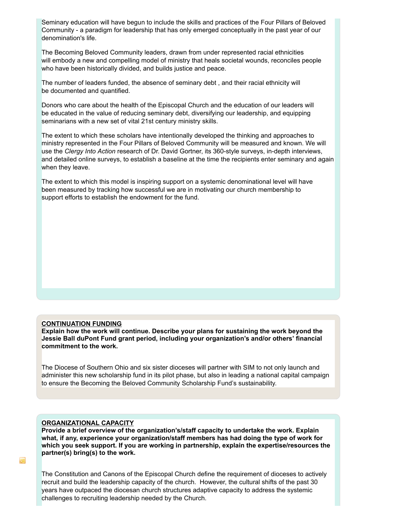Seminary education will have begun to include the skills and practices of the Four Pillars of Beloved Community - a paradigm for leadership that has only emerged conceptually in the past year of our denomination's life.

The Becoming Beloved Community leaders, drawn from under represented racial ethnicities will embody a new and compelling model of ministry that heals societal wounds, reconciles people who have been historically divided, and builds justice and peace.

The number of leaders funded, the absence of seminary debt , and their racial ethnicity will be documented and quantified.

Donors who care about the health of the Episcopal Church and the education of our leaders will be educated in the value of reducing seminary debt, diversifying our leadership, and equipping seminarians with a new set of vital 21st century ministry skills.

The extent to which these scholars have intentionally developed the thinking and approaches to ministry represented in the Four Pillars of Beloved Community will be measured and known. We will use the *Clergy Into Action* research of Dr. David Gortner, its 360-style surveys, in-depth interviews, and detailed online surveys, to establish a baseline at the time the recipients enter seminary and again when they leave.

The extent to which this model is inspiring support on a systemic denominational level will have been measured by tracking how successful we are in motivating our church membership to support efforts to establish the endowment for the fund.

### **CONTINUATION FUNDING**

**Explain how the work will continue. Describe your plans for sustaining the work beyond the Jessie Ball duPont Fund grant period, including your organization's and/or others' financial commitment to the work.**

The Diocese of Southern Ohio and six sister dioceses will partner with SIM to not only launch and administer this new scholarship fund in its pilot phase, but also in leading a national capital campaign to ensure the Becoming the Beloved Community Scholarship Fund's sustainability.

## **ORGANIZATIONAL CAPACITY**

**Provide a brief overview of the organization's/staff capacity to undertake the work. Explain what, if any, experience your organization/staff members has had doing the type of work for which you seek support. If you are working in partnership, explain the expertise/resources the partner(s) bring(s) to the work.**

The Constitution and Canons of the Episcopal Church define the requirement of dioceses to actively recruit and build the leadership capacity of the church. However, the cultural shifts of the past 30 years have outpaced the diocesan church structures adaptive capacity to address the systemic challenges to recruiting leadership needed by the Church.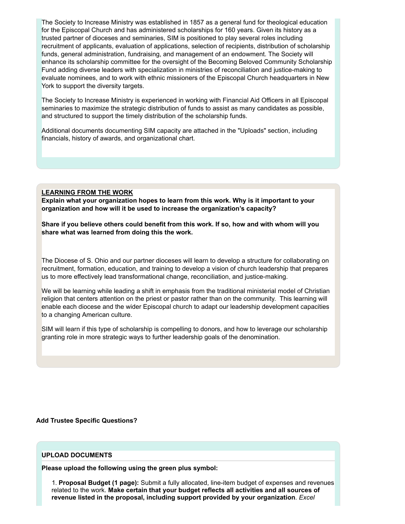The Society to Increase Ministry was established in 1857 as a general fund for theological education for the Episcopal Church and has administered scholarships for 160 years. Given its history as a trusted partner of dioceses and seminaries, SIM is positioned to play several roles including recruitment of applicants, evaluation of applications, selection of recipients, distribution of scholarship funds, general administration, fundraising, and management of an endowment. The Society will enhance its scholarship committee for the oversight of the Becoming Beloved Community Scholarship Fund adding diverse leaders with specialization in ministries of reconciliation and justice-making to evaluate nominees, and to work with ethnic missioners of the Episcopal Church headquarters in New York to support the diversity targets.

The Society to Increase Ministry is experienced in working with Financial Aid Officers in all Episcopal seminaries to maximize the strategic distribution of funds to assist as many candidates as possible, and structured to support the timely distribution of the scholarship funds.

Additional documents documenting SIM capacity are attached in the "Uploads" section, including financials, history of awards, and organizational chart.

### **LEARNING FROM THE WORK**

**Explain what your organization hopes to learn from this work. Why is it important to your organization and how will it be used to increase the organization's capacity?** 

**Share if you believe others could benefit from this work. If so, how and with whom will you share what was learned from doing this the work.**

The Diocese of S. Ohio and our partner dioceses will learn to develop a structure for collaborating on recruitment, formation, education, and training to develop a vision of church leadership that prepares us to more effectively lead transformational change, reconciliation, and justice-making.

We will be learning while leading a shift in emphasis from the traditional ministerial model of Christian religion that centers attention on the priest or pastor rather than on the community. This learning will enable each diocese and the wider Episcopal church to adapt our leadership development capacities to a changing American culture.

SIM will learn if this type of scholarship is compelling to donors, and how to leverage our scholarship granting role in more strategic ways to further leadership goals of the denomination.

**Add Trustee Specific Questions?**

### **UPLOAD DOCUMENTS**

**Please upload the following using the green plus symbol:**

1. **Proposal Budget (1 page):** Submit a fully allocated, line-item budget of expenses and revenues related to the work. **Make certain that your budget reflects all activities and all sources of revenue listed in the proposal, including support provided by your organization**. *Excel*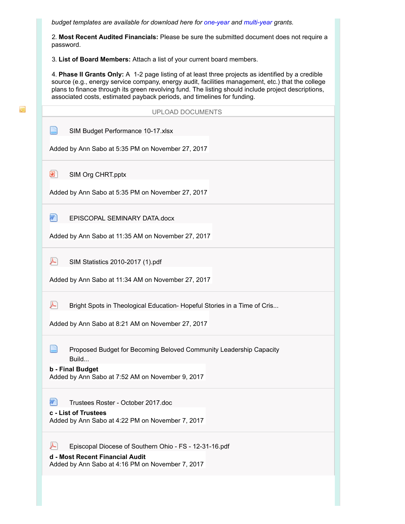*budget templates are available for download here for one-year and multi-year grants.* 

2. **Most Recent Audited Financials:** Please be sure the submitted document does not require a password.

3. **List of Board Members:** Attach a list of your current board members.

ka.

4. **Phase II Grants Only:** A 12 page listing of at least three projects as identified by a credible source (e.g., energy service company, energy audit, facilities management, etc.) that the college plans to finance through its green revolving fund. The listing should include project descriptions, associated costs, estimated payback periods, and timelines for funding.

| <b>UPLOAD DOCUMENTS</b>                                                                                                                                    |
|------------------------------------------------------------------------------------------------------------------------------------------------------------|
| SIM Budget Performance 10-17.xlsx<br>Added by Ann Sabo at 5:35 PM on November 27, 2017                                                                     |
| o<br>SIM Org CHRT.pptx<br>Added by Ann Sabo at 5:35 PM on November 27, 2017                                                                                |
| EPISCOPAL SEMINARY DATA.docx<br>Added by Ann Sabo at 11:35 AM on November 27, 2017                                                                         |
| A<br>SIM Statistics 2010-2017 (1).pdf<br>Added by Ann Sabo at 11:34 AM on November 27, 2017                                                                |
| Bright Spots in Theological Education- Hopeful Stories in a Time of Cris<br>Added by Ann Sabo at 8:21 AM on November 27, 2017                              |
| Proposed Budget for Becoming Beloved Community Leadership Capacity<br>Build<br><b>b</b> - Final Budget<br>Added by Ann Sabo at 7:52 AM on November 9, 2017 |
| Trustees Roster - October 2017.doc<br>c - List of Trustees<br>Added by Ann Sabo at 4:22 PM on November 7, 2017                                             |
| Episcopal Diocese of Southern Ohio - FS - 12-31-16.pdf<br>d - Most Recent Financial Audit<br>Added by Ann Sabo at 4:16 PM on November 7, 2017              |